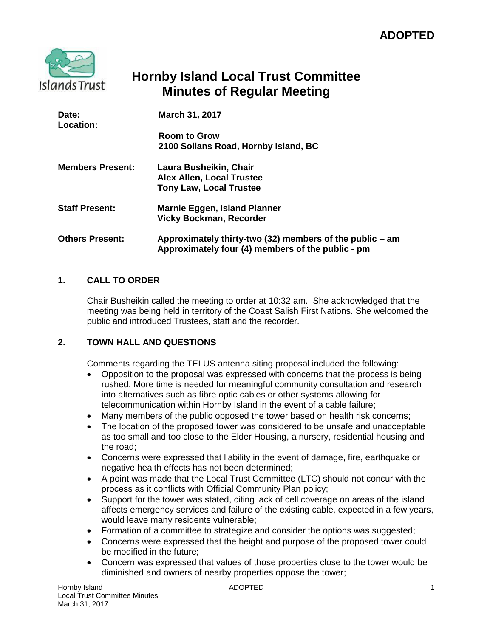

# **Hornby Island Local Trust Committee Minutes of Regular Meeting**

| Date:<br>Location:      | March 31, 2017                                                                                                |
|-------------------------|---------------------------------------------------------------------------------------------------------------|
|                         | <b>Room to Grow</b><br>2100 Sollans Road, Hornby Island, BC                                                   |
| <b>Members Present:</b> | Laura Busheikin, Chair<br><b>Alex Allen, Local Trustee</b><br><b>Tony Law, Local Trustee</b>                  |
| <b>Staff Present:</b>   | Marnie Eggen, Island Planner<br><b>Vicky Bockman, Recorder</b>                                                |
| <b>Others Present:</b>  | Approximately thirty-two (32) members of the public – am<br>Approximately four (4) members of the public - pm |

# **1. CALL TO ORDER**

Chair Busheikin called the meeting to order at 10:32 am. She acknowledged that the meeting was being held in territory of the Coast Salish First Nations. She welcomed the public and introduced Trustees, staff and the recorder.

# **2. TOWN HALL AND QUESTIONS**

Comments regarding the TELUS antenna siting proposal included the following:

- Opposition to the proposal was expressed with concerns that the process is being rushed. More time is needed for meaningful community consultation and research into alternatives such as fibre optic cables or other systems allowing for telecommunication within Hornby Island in the event of a cable failure;
- Many members of the public opposed the tower based on health risk concerns;
- The location of the proposed tower was considered to be unsafe and unacceptable as too small and too close to the Elder Housing, a nursery, residential housing and the road;
- Concerns were expressed that liability in the event of damage, fire, earthquake or negative health effects has not been determined;
- A point was made that the Local Trust Committee (LTC) should not concur with the process as it conflicts with Official Community Plan policy;
- Support for the tower was stated, citing lack of cell coverage on areas of the island affects emergency services and failure of the existing cable, expected in a few years, would leave many residents vulnerable;
- Formation of a committee to strategize and consider the options was suggested;
- Concerns were expressed that the height and purpose of the proposed tower could be modified in the future;
- Concern was expressed that values of those properties close to the tower would be diminished and owners of nearby properties oppose the tower;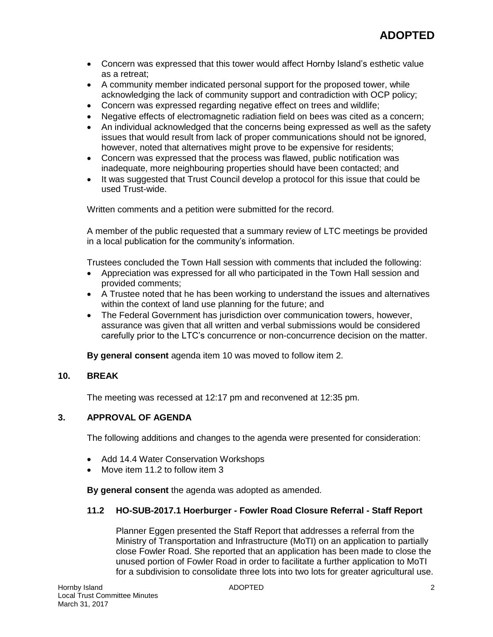- Concern was expressed that this tower would affect Hornby Island's esthetic value as a retreat;
- A community member indicated personal support for the proposed tower, while acknowledging the lack of community support and contradiction with OCP policy;
- Concern was expressed regarding negative effect on trees and wildlife;
- Negative effects of electromagnetic radiation field on bees was cited as a concern;
- An individual acknowledged that the concerns being expressed as well as the safety issues that would result from lack of proper communications should not be ignored, however, noted that alternatives might prove to be expensive for residents;
- Concern was expressed that the process was flawed, public notification was inadequate, more neighbouring properties should have been contacted; and
- It was suggested that Trust Council develop a protocol for this issue that could be used Trust-wide.

Written comments and a petition were submitted for the record.

A member of the public requested that a summary review of LTC meetings be provided in a local publication for the community's information.

Trustees concluded the Town Hall session with comments that included the following:

- Appreciation was expressed for all who participated in the Town Hall session and provided comments;
- A Trustee noted that he has been working to understand the issues and alternatives within the context of land use planning for the future; and
- The Federal Government has jurisdiction over communication towers, however, assurance was given that all written and verbal submissions would be considered carefully prior to the LTC's concurrence or non-concurrence decision on the matter.

**By general consent** agenda item 10 was moved to follow item 2.

### **10. BREAK**

The meeting was recessed at 12:17 pm and reconvened at 12:35 pm.

## **3. APPROVAL OF AGENDA**

The following additions and changes to the agenda were presented for consideration:

- Add 14.4 Water Conservation Workshops
- Move item 11.2 to follow item 3

**By general consent** the agenda was adopted as amended.

#### **11.2 HO-SUB-2017.1 Hoerburger - Fowler Road Closure Referral - Staff Report**

Planner Eggen presented the Staff Report that addresses a referral from the Ministry of Transportation and Infrastructure (MoTI) on an application to partially close Fowler Road. She reported that an application has been made to close the unused portion of Fowler Road in order to facilitate a further application to MoTI for a subdivision to consolidate three lots into two lots for greater agricultural use.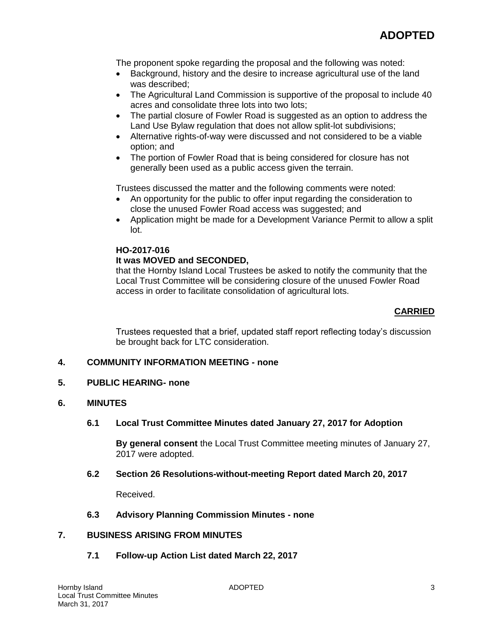The proponent spoke regarding the proposal and the following was noted:

- Background, history and the desire to increase agricultural use of the land was described;
- The Agricultural Land Commission is supportive of the proposal to include 40 acres and consolidate three lots into two lots;
- The partial closure of Fowler Road is suggested as an option to address the Land Use Bylaw regulation that does not allow split-lot subdivisions;
- Alternative rights-of-way were discussed and not considered to be a viable option; and
- The portion of Fowler Road that is being considered for closure has not generally been used as a public access given the terrain.

Trustees discussed the matter and the following comments were noted:

- An opportunity for the public to offer input regarding the consideration to close the unused Fowler Road access was suggested; and
- Application might be made for a Development Variance Permit to allow a split lot.

# **HO-2017-016**

## **It was MOVED and SECONDED,**

that the Hornby Island Local Trustees be asked to notify the community that the Local Trust Committee will be considering closure of the unused Fowler Road access in order to facilitate consolidation of agricultural lots.

# **CARRIED**

Trustees requested that a brief, updated staff report reflecting today's discussion be brought back for LTC consideration.

# **4. COMMUNITY INFORMATION MEETING - none**

#### **5. PUBLIC HEARING- none**

## **6. MINUTES**

#### **6.1 Local Trust Committee Minutes dated January 27, 2017 for Adoption**

**By general consent** the Local Trust Committee meeting minutes of January 27, 2017 were adopted.

#### **6.2 Section 26 Resolutions-without-meeting Report dated March 20, 2017**

Received.

# **6.3 Advisory Planning Commission Minutes - none**

# **7. BUSINESS ARISING FROM MINUTES**

# **7.1 Follow-up Action List dated March 22, 2017**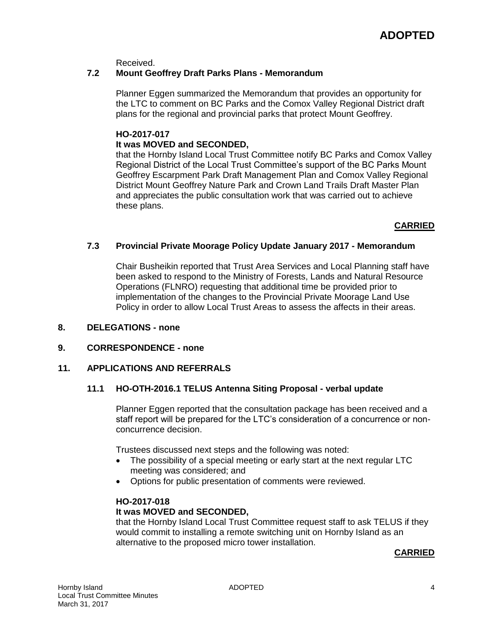Received.

### **7.2 Mount Geoffrey Draft Parks Plans - Memorandum**

Planner Eggen summarized the Memorandum that provides an opportunity for the LTC to comment on BC Parks and the Comox Valley Regional District draft plans for the regional and provincial parks that protect Mount Geoffrey.

#### **HO-2017-017**

### **It was MOVED and SECONDED,**

that the Hornby Island Local Trust Committee notify BC Parks and Comox Valley Regional District of the Local Trust Committee's support of the BC Parks Mount Geoffrey Escarpment Park Draft Management Plan and Comox Valley Regional District Mount Geoffrey Nature Park and Crown Land Trails Draft Master Plan and appreciates the public consultation work that was carried out to achieve these plans.

#### **CARRIED**

#### **7.3 Provincial Private Moorage Policy Update January 2017 - Memorandum**

Chair Busheikin reported that Trust Area Services and Local Planning staff have been asked to respond to the Ministry of Forests, Lands and Natural Resource Operations (FLNRO) requesting that additional time be provided prior to implementation of the changes to the Provincial Private Moorage Land Use Policy in order to allow Local Trust Areas to assess the affects in their areas.

#### **8. DELEGATIONS - none**

#### **9. CORRESPONDENCE - none**

#### **11. APPLICATIONS AND REFERRALS**

#### **11.1 HO-OTH-2016.1 TELUS Antenna Siting Proposal - verbal update**

Planner Eggen reported that the consultation package has been received and a staff report will be prepared for the LTC's consideration of a concurrence or nonconcurrence decision.

Trustees discussed next steps and the following was noted:

- The possibility of a special meeting or early start at the next regular LTC meeting was considered; and
- Options for public presentation of comments were reviewed.

#### **HO-2017-018**

#### **It was MOVED and SECONDED,**

that the Hornby Island Local Trust Committee request staff to ask TELUS if they would commit to installing a remote switching unit on Hornby Island as an alternative to the proposed micro tower installation.

#### **CARRIED**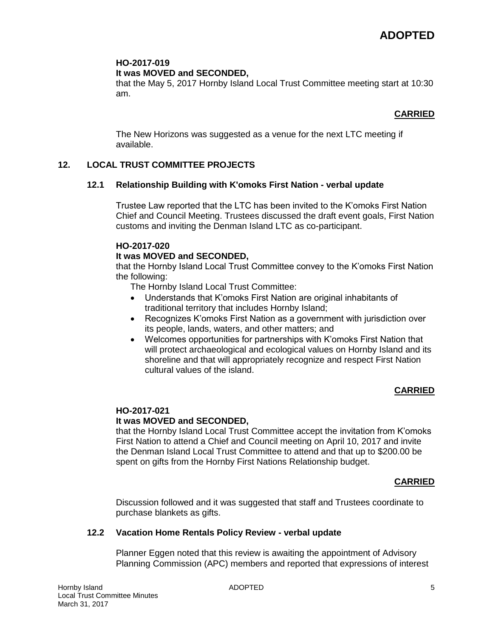# **HO-2017-019**

## **It was MOVED and SECONDED,**

that the May 5, 2017 Hornby Island Local Trust Committee meeting start at 10:30 am.

# **CARRIED**

The New Horizons was suggested as a venue for the next LTC meeting if available.

# **12. LOCAL TRUST COMMITTEE PROJECTS**

# **12.1 Relationship Building with K'omoks First Nation - verbal update**

Trustee Law reported that the LTC has been invited to the K'omoks First Nation Chief and Council Meeting. Trustees discussed the draft event goals, First Nation customs and inviting the Denman Island LTC as co-participant.

## **HO-2017-020**

# **It was MOVED and SECONDED,**

that the Hornby Island Local Trust Committee convey to the K'omoks First Nation the following:

The Hornby Island Local Trust Committee:

- Understands that K'omoks First Nation are original inhabitants of traditional territory that includes Hornby Island;
- Recognizes K'omoks First Nation as a government with jurisdiction over its people, lands, waters, and other matters; and
- Welcomes opportunities for partnerships with K'omoks First Nation that will protect archaeological and ecological values on Hornby Island and its shoreline and that will appropriately recognize and respect First Nation cultural values of the island.

# **CARRIED**

#### **HO-2017-021 It was MOVED and SECONDED,**

that the Hornby Island Local Trust Committee accept the invitation from K'omoks First Nation to attend a Chief and Council meeting on April 10, 2017 and invite the Denman Island Local Trust Committee to attend and that up to \$200.00 be spent on gifts from the Hornby First Nations Relationship budget.

# **CARRIED**

Discussion followed and it was suggested that staff and Trustees coordinate to purchase blankets as gifts.

# **12.2 Vacation Home Rentals Policy Review - verbal update**

Planner Eggen noted that this review is awaiting the appointment of Advisory Planning Commission (APC) members and reported that expressions of interest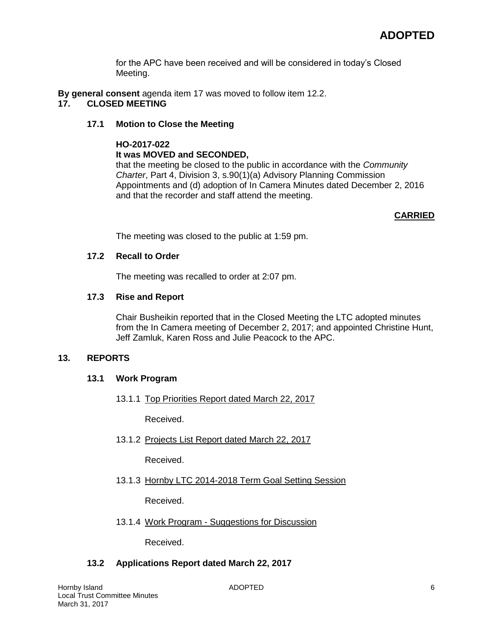for the APC have been received and will be considered in today's Closed Meeting.

**By general consent** agenda item 17 was moved to follow item 12.2.

# **17. CLOSED MEETING**

## **17.1 Motion to Close the Meeting**

# **HO-2017-022 It was MOVED and SECONDED,**

that the meeting be closed to the public in accordance with the *Community Charter*, Part 4, Division 3, s.90(1)(a) Advisory Planning Commission Appointments and (d) adoption of In Camera Minutes dated December 2, 2016 and that the recorder and staff attend the meeting.

# **CARRIED**

The meeting was closed to the public at 1:59 pm.

## **17.2 Recall to Order**

The meeting was recalled to order at 2:07 pm.

## **17.3 Rise and Report**

Chair Busheikin reported that in the Closed Meeting the LTC adopted minutes from the In Camera meeting of December 2, 2017; and appointed Christine Hunt, Jeff Zamluk, Karen Ross and Julie Peacock to the APC.

# **13. REPORTS**

# **13.1 Work Program**

13.1.1 Top Priorities Report dated March 22, 2017

Received.

13.1.2 Projects List Report dated March 22, 2017

Received.

13.1.3 Hornby LTC 2014-2018 Term Goal Setting Session

Received.

13.1.4 Work Program - Suggestions for Discussion

Received.

# **13.2 Applications Report dated March 22, 2017**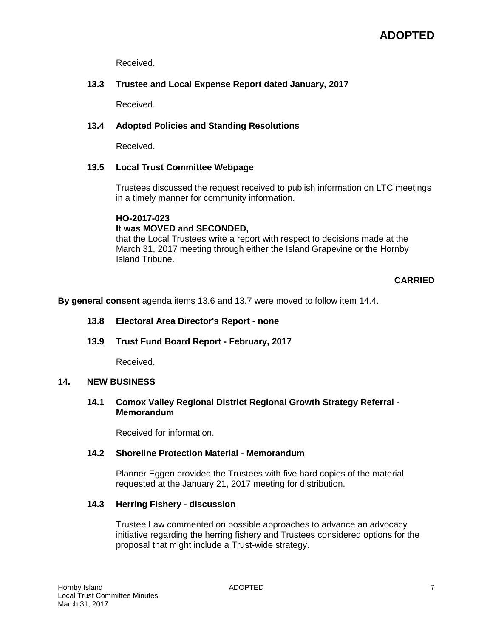Received.

## **13.3 Trustee and Local Expense Report dated January, 2017**

Received.

### **13.4 Adopted Policies and Standing Resolutions**

Received.

#### **13.5 Local Trust Committee Webpage**

Trustees discussed the request received to publish information on LTC meetings in a timely manner for community information.

#### **HO-2017-023**

#### **It was MOVED and SECONDED,**

that the Local Trustees write a report with respect to decisions made at the March 31, 2017 meeting through either the Island Grapevine or the Hornby Island Tribune.

## **CARRIED**

**By general consent** agenda items 13.6 and 13.7 were moved to follow item 14.4.

#### **13.8 Electoral Area Director's Report - none**

**13.9 Trust Fund Board Report - February, 2017**

Received.

#### **14. NEW BUSINESS**

#### **14.1 Comox Valley Regional District Regional Growth Strategy Referral - Memorandum**

Received for information.

#### **14.2 Shoreline Protection Material - Memorandum**

Planner Eggen provided the Trustees with five hard copies of the material requested at the January 21, 2017 meeting for distribution.

#### **14.3 Herring Fishery - discussion**

Trustee Law commented on possible approaches to advance an advocacy initiative regarding the herring fishery and Trustees considered options for the proposal that might include a Trust-wide strategy.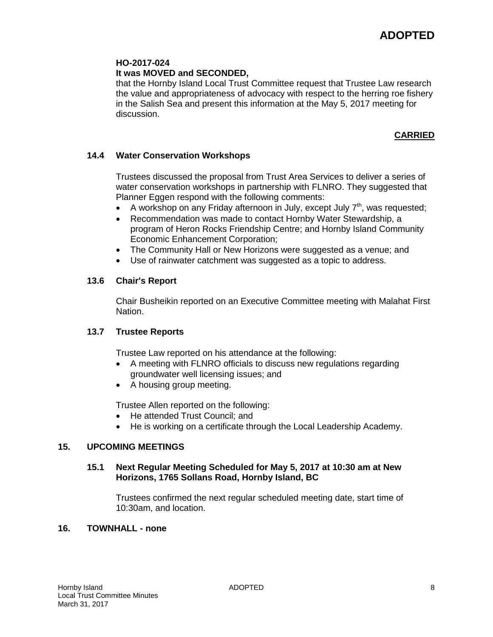### **HO-2017-024**

## **It was MOVED and SECONDED,**

that the Hornby Island Local Trust Committee request that Trustee Law research the value and appropriateness of advocacy with respect to the herring roe fishery in the Salish Sea and present this information at the May 5, 2017 meeting for discussion.

# **CARRIED**

## **14.4 Water Conservation Workshops**

Trustees discussed the proposal from Trust Area Services to deliver a series of water conservation workshops in partnership with FLNRO. They suggested that Planner Eggen respond with the following comments:

- A workshop on any Friday afternoon in July, except July  $7<sup>th</sup>$ , was requested;
- Recommendation was made to contact Hornby Water Stewardship, a program of Heron Rocks Friendship Centre; and Hornby Island Community Economic Enhancement Corporation;
- The Community Hall or New Horizons were suggested as a venue; and
- Use of rainwater catchment was suggested as a topic to address.

## **13.6 Chair's Report**

Chair Busheikin reported on an Executive Committee meeting with Malahat First Nation.

#### **13.7 Trustee Reports**

Trustee Law reported on his attendance at the following:

- A meeting with FLNRO officials to discuss new regulations regarding groundwater well licensing issues; and
- A housing group meeting.

Trustee Allen reported on the following:

- He attended Trust Council; and
- He is working on a certificate through the Local Leadership Academy.

### **15. UPCOMING MEETINGS**

#### **15.1 Next Regular Meeting Scheduled for May 5, 2017 at 10:30 am at New Horizons, 1765 Sollans Road, Hornby Island, BC**

Trustees confirmed the next regular scheduled meeting date, start time of 10:30am, and location.

#### **16. TOWNHALL - none**